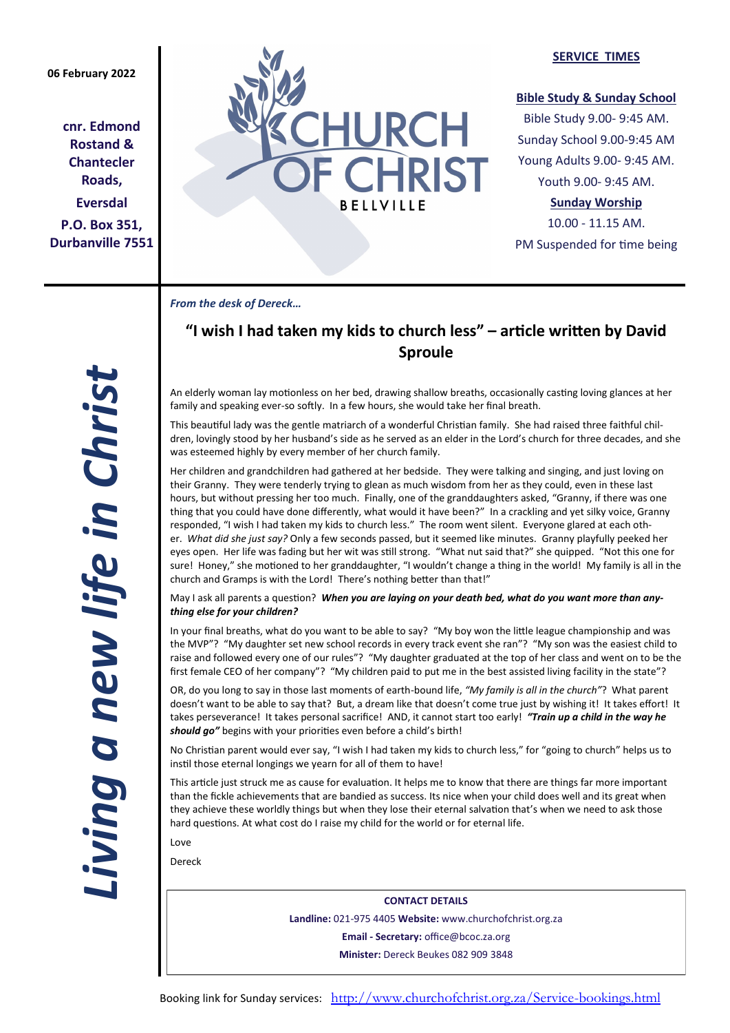**cnr. Edmond Rostand & Chantecler Roads, Eversdal P.O. Box 351, Durbanville 7551**



## **SERVICE TIMES**

## **Bible Study & Sunday School**

Bible Study 9.00- 9:45 AM. Sunday School 9.00-9:45 AM Young Adults 9.00- 9:45 AM. Youth 9.00- 9:45 AM.

## **Sunday Worship**

10.00 - 11.15 AM. PM Suspended for time being

*From the desk of Dereck…* 

# **"I wish I had taken my kids to church less" – article written by David Sproule**

An elderly woman lay motionless on her bed, drawing shallow breaths, occasionally casting loving glances at her family and speaking ever-so softly. In a few hours, she would take her final breath.

This beautiful lady was the gentle matriarch of a wonderful Christian family. She had raised three faithful children, lovingly stood by her husband's side as he served as an elder in the Lord's church for three decades, and she was esteemed highly by every member of her church family.

Her children and grandchildren had gathered at her bedside. They were talking and singing, and just loving on their Granny. They were tenderly trying to glean as much wisdom from her as they could, even in these last hours, but without pressing her too much. Finally, one of the granddaughters asked, "Granny, if there was one thing that you could have done differently, what would it have been?" In a crackling and yet silky voice, Granny responded, "I wish I had taken my kids to church less." The room went silent. Everyone glared at each other. *What did she just say?* Only a few seconds passed, but it seemed like minutes. Granny playfully peeked her eyes open. Her life was fading but her wit was still strong. "What nut said that?" she quipped. "Not this one for sure! Honey," she motioned to her granddaughter, "I wouldn't change a thing in the world! My family is all in the church and Gramps is with the Lord! There's nothing better than that!"

May I ask all parents a question? *When you are laying on your death bed, what do you want more than anything else for your children?*

In your final breaths, what do you want to be able to say? "My boy won the little league championship and was the MVP"? "My daughter set new school records in every track event she ran"? "My son was the easiest child to raise and followed every one of our rules"? "My daughter graduated at the top of her class and went on to be the first female CEO of her company"? "My children paid to put me in the best assisted living facility in the state"?

OR, do you long to say in those last moments of earth-bound life, *"My family is all in the church"*? What parent doesn't want to be able to say that? But, a dream like that doesn't come true just by wishing it! It takes effort! It takes perseverance! It takes personal sacrifice! AND, it cannot start too early! *"Train up a child in the way he should go"* begins with your priorities even before a child's birth!

No Christian parent would ever say, "I wish I had taken my kids to church less," for "going to church" helps us to instil those eternal longings we yearn for all of them to have!

This article just struck me as cause for evaluation. It helps me to know that there are things far more important than the fickle achievements that are bandied as success. Its nice when your child does well and its great when they achieve these worldly things but when they lose their eternal salvation that's when we need to ask those hard questions. At what cost do I raise my child for the world or for eternal life.

Love

Dereck

**CONTACT DETAILS Landline:** 021-975 4405 **Website:** www.churchofchrist.org.za **Email - Secretary:** office@bcoc.za.org **Minister:** Dereck Beukes 082 909 3848